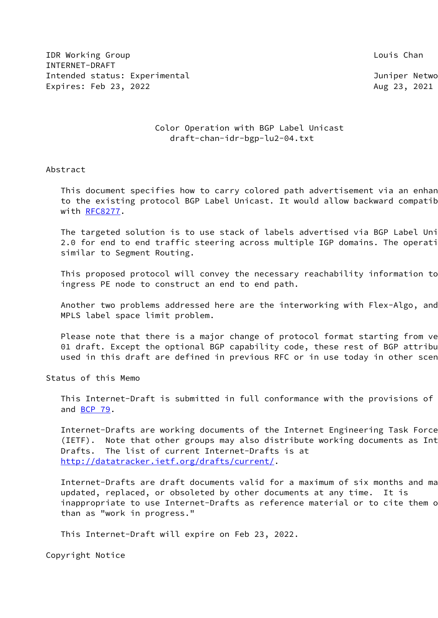**IDR Working Group Louis Channel Community** Channel Courses and Louis Channel Countries and Louis Channel Countries INTERNET-DRAFT Intended status: Experimental and a status of the Juniper Netwo Expires: Feb 23, 2022 **Aug 23, 2021** Aug 23, 2021

## Color Operation with BGP Label Unicast draft-chan-idr-bgp-lu2-04.txt

## Abstract

This document specifies how to carry colored path advertisement via an enhan to the existing protocol BGP Label Unicast. It would allow backward compatib with [RFC8277](https://datatracker.ietf.org/doc/pdf/rfc8277).

The targeted solution is to use stack of labels advertised via BGP Label Uni 2.0 for end to end traffic steering across multiple IGP domains. The operati similar to Segment Routing.

This proposed protocol will convey the necessary reachability information to ingress PE node to construct an end to end path.

Another two problems addressed here are the interworking with Flex-Algo, and MPLS label space limit problem.

Please note that there is a major change of protocol format starting from ve 01 draft. Except the optional BGP capability code, these rest of BGP attribu used in this draft are defined in previous RFC or in use today in other scen

Status of this Memo

 This Internet-Draft is submitted in full conformance with the provisions of and [BCP 79](https://datatracker.ietf.org/doc/pdf/bcp79).

 Internet-Drafts are working documents of the Internet Engineering Task Force (IETF). Note that other groups may also distribute working documents as Int Drafts. The list of current Internet-Drafts is at <http://datatracker.ietf.org/drafts/current/>.

Internet-Drafts are draft documents valid for a maximum of six months and ma updated, replaced, or obsoleted by other documents at any time. It is inappropriate to use Internet-Drafts as reference material or to cite them o than as "work in progress."

This Internet-Draft will expire on Feb 23, 2022.

Copyright Notice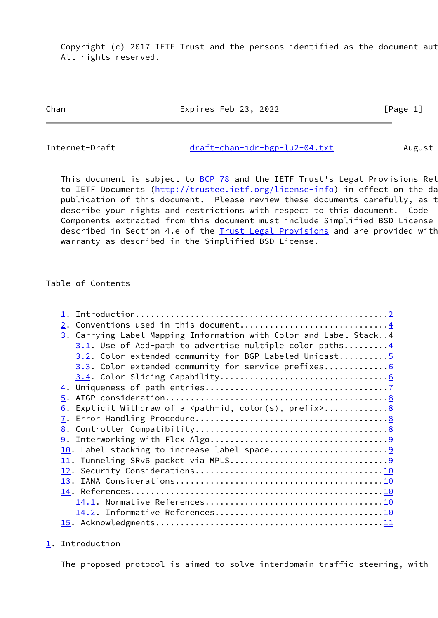Copyright (c) 2017 IETF Trust and the persons identified as the document aut All rights reserved.

Chan Expires Feb 23, 2022 [Page 1]

<span id="page-1-1"></span>Internet-Draft [draft-chan-idr-bgp-lu2-04.txt](https://datatracker.ietf.org/doc/pdf/draft-chan-idr-bgp-lu2-04.txt) August

This document is subject to [BCP 78](https://datatracker.ietf.org/doc/pdf/bcp78) and the IETF Trust's Legal Provisions Rel to IETF Documents ([http://trustee.ietf.org/license-info\)](http://trustee.ietf.org/license-info) in effect on the da publication of this document. Please review these documents carefully, as t describe your rights and restrictions with respect to this document. Code Components extracted from this document must include Simplified BSD License described in Section 4.e of the [Trust Legal Provisions](https://trustee.ietf.org/license-info) and are provided with warranty as described in the Simplified BSD License.

Table of Contents

| Conventions used in this document4<br>2.                                                |
|-----------------------------------------------------------------------------------------|
| 3. Carrying Label Mapping Information with Color and Label Stack4                       |
| $3.1$ . Use of Add-path to advertise multiple color paths 4                             |
| 3.2. Color extended community for BGP Labeled Unicast5                                  |
| 3.3. Color extended community for service prefixes6                                     |
|                                                                                         |
|                                                                                         |
|                                                                                         |
| <u>6</u> . Explicit Withdraw of a <path-id, color(s),="" prefix=""> <u>8</u></path-id,> |
|                                                                                         |
|                                                                                         |
|                                                                                         |
|                                                                                         |
|                                                                                         |
|                                                                                         |
|                                                                                         |
|                                                                                         |
|                                                                                         |
|                                                                                         |
|                                                                                         |
|                                                                                         |

<span id="page-1-0"></span>[1](#page-1-0). Introduction

The proposed protocol is aimed to solve interdomain traffic steering, with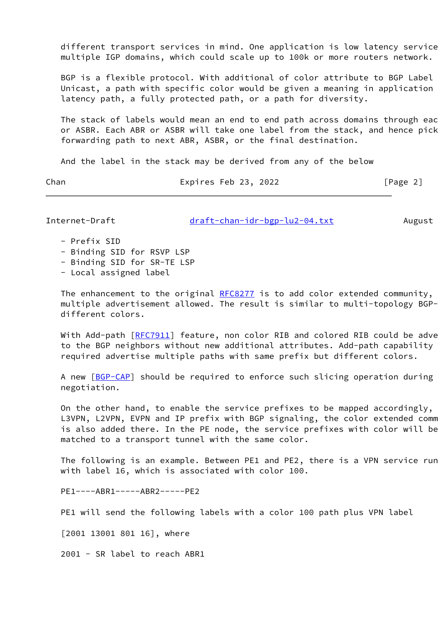different transport services in mind. One application is low latency service multiple IGP domains, which could scale up to 100k or more routers network.

 BGP is a flexible protocol. With additional of color attribute to BGP Label Unicast, a path with specific color would be given a meaning in application latency path, a fully protected path, or a path for diversity.

The stack of labels would mean an end to end path across domains through eac or ASBR. Each ABR or ASBR will take one label from the stack, and hence pick forwarding path to next ABR, ASBR, or the final destination.

And the label in the stack may be derived from any of the below

Chan Expires Feb 23, 2022 [Page 2]

Internet-Draft [draft-chan-idr-bgp-lu2-04.txt](https://datatracker.ietf.org/doc/pdf/draft-chan-idr-bgp-lu2-04.txt) August

- Prefix SID
- Binding SID for RSVP LSP
- Binding SID for SR-TE LSP
- Local assigned label

The enhancement to the original  $RFC8277$  is to add color extended community, multiple advertisement allowed. The result is similar to multi-topology BGPdifferent colors.

With Add-path [[RFC7911](https://datatracker.ietf.org/doc/pdf/rfc7911)] feature, non color RIB and colored RIB could be adve to the BGP neighbors without new additional attributes. Add-path capability required advertise multiple paths with same prefix but different colors.

A new [[BGP-CAP](#page-12-1)] should be required to enforce such slicing operation during negotiation.

On the other hand, to enable the service prefixes to be mapped accordingly, L3VPN, L2VPN, EVPN and IP prefix with BGP signaling, the color extended comm is also added there. In the PE node, the service prefixes with color will be matched to a transport tunnel with the same color.

The following is an example. Between PE1 and PE2, there is a VPN service run with label 16, which is associated with color 100.

PE1----ABR1-----ABR2-----PE2

PE1 will send the following labels with a color 100 path plus VPN label

[2001 13001 801 16], where

2001 - SR label to reach ABR1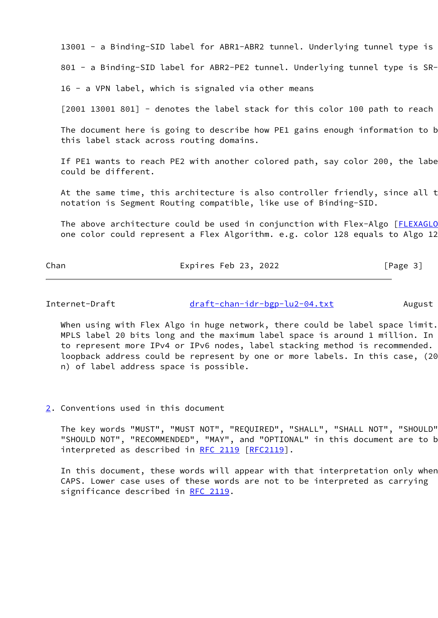13001 - a Binding-SID label for ABR1-ABR2 tunnel. Underlying tunnel type is

801 - a Binding-SID label for ABR2-PE2 tunnel. Underlying tunnel type is SR-

16 - a VPN label, which is signaled via other means

 $[2001 13001 801]$  - denotes the label stack for this color 100 path to reach

The document here is going to describe how PE1 gains enough information to b this label stack across routing domains.

If PE1 wants to reach PE2 with another colored path, say color 200, the labe could be different.

At the same time, this architecture is also controller friendly, since all t notation is Segment Routing compatible, like use of Binding-SID.

The above architecture could be used in conjunction with Flex-Algo [[FLEXAGLO](#page-12-2) one color could represent a Flex Algorithm. e.g. color 128 equals to Algo 12

Chan Expires Feb 23, 2022 [Page 3]

<span id="page-3-1"></span>Internet-Draft [draft-chan-idr-bgp-lu2-04.txt](https://datatracker.ietf.org/doc/pdf/draft-chan-idr-bgp-lu2-04.txt) August

When using with Flex Algo in huge network, there could be label space limit. MPLS label 20 bits long and the maximum label space is around 1 million. In to represent more IPv4 or IPv6 nodes, label stacking method is recommended. loopback address could be represent by one or more labels. In this case, (20 n) of label address space is possible.

<span id="page-3-0"></span>[2](#page-3-0). Conventions used in this document

 The key words "MUST", "MUST NOT", "REQUIRED", "SHALL", "SHALL NOT", "SHOULD", "SHOULD NOT", "RECOMMENDED", "MAY", and "OPTIONAL" in this document are to be interpreted as described in [RFC 2119 \[RFC2119](https://datatracker.ietf.org/doc/pdf/rfc2119)].

In this document, these words will appear with that interpretation only when CAPS. Lower case uses of these words are not to be interpreted as carrying significance described in [RFC 2119](https://datatracker.ietf.org/doc/pdf/rfc2119).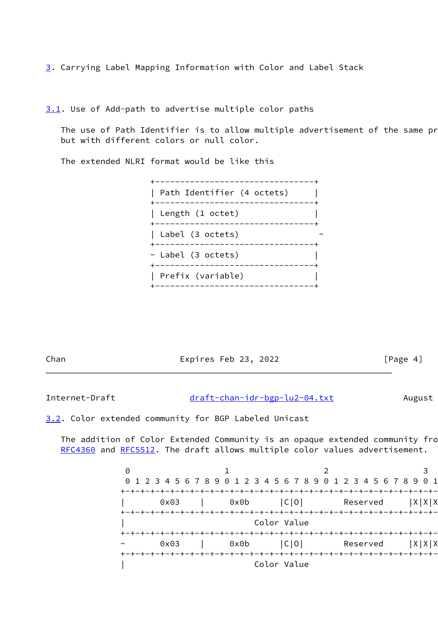<span id="page-4-0"></span>[3](#page-4-0). Carrying Label Mapping Information with Color and Label Stack

<span id="page-4-1"></span>[3.1](#page-4-1). Use of Add-path to advertise multiple color paths

The use of Path Identifier is to allow multiple advertisement of the same pr but with different colors or null color.

The extended NLRI format would be like this

| ________________________                              |  |
|-------------------------------------------------------|--|
| Path Identifier (4 octets)<br>----------------------- |  |
| Length (1 octet)                                      |  |
| Label (3 octets)<br>-----------------------           |  |
| ~ Label (3 octets)                                    |  |
| Prefix (variable)                                     |  |
|                                                       |  |

Chan Expires Feb 23, 2022 [Page 4]

<span id="page-4-3"></span>Internet-Draft [draft-chan-idr-bgp-lu2-04.txt](https://datatracker.ietf.org/doc/pdf/draft-chan-idr-bgp-lu2-04.txt) August

<span id="page-4-2"></span>[3.2](#page-4-2). Color extended community for BGP Labeled Unicast

The addition of Color Extended Community is an opaque extended community fro [RFC4360](https://datatracker.ietf.org/doc/pdf/rfc4360) and [RFC5512.](https://datatracker.ietf.org/doc/pdf/rfc5512) The draft allows multiple color values advertisement.

 $0$  and  $1$  and  $2$  3 0 1 2 3 4 5 6 7 8 9 0 1 2 3 4 5 6 7 8 9 0 1 2 3 4 5 6 7 8 9 0 1 +-+-+-+-+-+-+-+-+-+-+-+-+-+-+-+-+-+-+-+-+-+-+-+-+-+-+-+-+-+-+-+-+ 0x03 | 0x0b |C|0| Reserved |X|X|X +-+-+-+-+-+-+-+-+-+-+-+-+-+-+-+-+-+-+-+-+-+-+-+-+-+-+-+-+-+-+-+-+ Color Value +-+-+-+-+-+-+-+-+-+-+-+-+-+-+-+-+-+-+-+-+-+-+-+-+-+-+-+-+-+-+-+-+ 0x03 | 0x0b |C|O| Reserved |X|X|X +-+-+-+-+-+-+-+-+-+-+-+-+-+-+-+-+-+-+-+-+-+-+-+-+-+-+-+-+-+-+-+-+ | Color Value |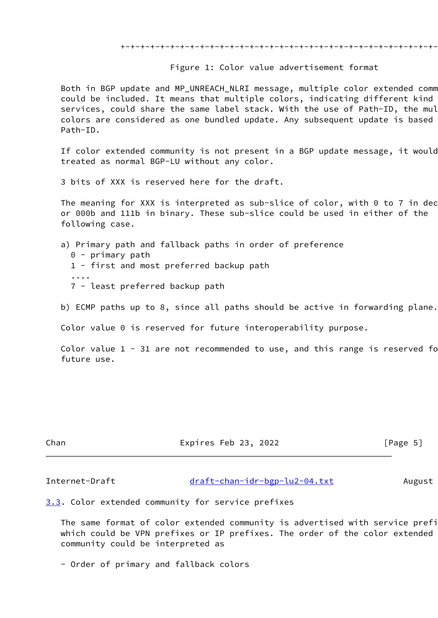+-+-+-+-+-+-+-+-+-+-+-+-+-+-+-+-+-+-+-+-+-+-+-+-+-+-+-+-+-+-+-+-+

Figure 1: Color value advertisement format

Both in BGP update and MP\_UNREACH\_NLRI message, multiple color extended comm could be included. It means that multiple colors, indicating different kind services, could share the same label stack. With the use of Path-ID, the mul colors are considered as one bundled update. Any subsequent update is based Path-ID.

If color extended community is not present in a BGP update message, it would treated as normal BGP-LU without any color.

3 bits of XXX is reserved here for the draft.

The meaning for XXX is interpreted as sub-slice of color, with  $0$  to 7 in dec or 000b and 111b in binary. These sub-slice could be used in either of the following case.

a) Primary path and fallback paths in order of preference

- 0 primary path 1 - first and most preferred backup path ....
	- 7 least preferred backup path

b) ECMP paths up to 8, since all paths should be active in forwarding plane.

Color value 0 is reserved for future interoperability purpose.

Color value  $1 - 31$  are not recommended to use, and this range is reserved for future use.

Chan Expires Feb 23, 2022 [Page 5]

<span id="page-5-1"></span>Internet-Draft [draft-chan-idr-bgp-lu2-04.txt](https://datatracker.ietf.org/doc/pdf/draft-chan-idr-bgp-lu2-04.txt) August

<span id="page-5-0"></span>[3.3](#page-5-0). Color extended community for service prefixes

The same format of color extended community is advertised with service prefi which could be VPN prefixes or IP prefixes. The order of the color extended community could be interpreted as

- Order of primary and fallback colors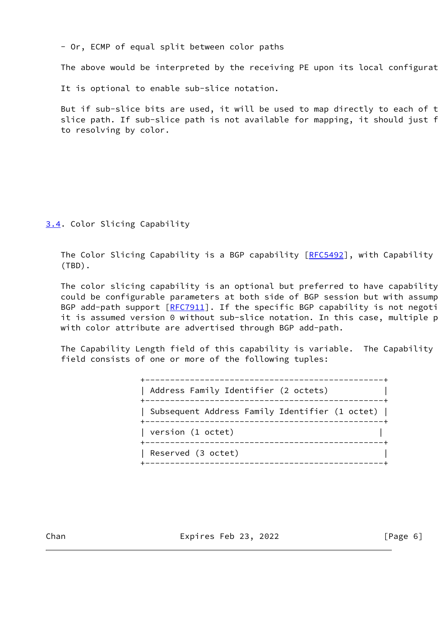- Or, ECMP of equal split between color paths

The above would be interpreted by the receiving PE upon its local configurat

It is optional to enable sub-slice notation.

But if sub-slice bits are used, it will be used to map directly to each of t slice path. If sub-slice path is not available for mapping, it should just f to resolving by color.

<span id="page-6-0"></span>[3.4](#page-6-0). Color Slicing Capability

The Color Slicing Capability is a BGP capability [\[RFC5492](https://datatracker.ietf.org/doc/pdf/rfc5492)], with Capability (TBD).

The color slicing capability is an optional but preferred to have capability could be configurable parameters at both side of BGP session but with assump BGP add-path support [\[RFC7911](https://datatracker.ietf.org/doc/pdf/rfc7911)]. If the specific BGP capability is not negoti it is assumed version 0 without sub-slice notation. In this case, multiple p with color attribute are advertised through BGP add-path.

The Capability Length field of this capability is variable. The Capability field consists of one or more of the following tuples:

> +------------------------------------------------+ | Address Family Identifier (2 octets) | +------------------------------------------------+ | Subsequent Address Family Identifier (1 octet) | +------------------------------------------------+ | version (1 octet) | +------------------------------------------------+ | Reserved (3 octet) | +------------------------------------------------+

Chan **Expires Feb 23, 2022** [Page 6]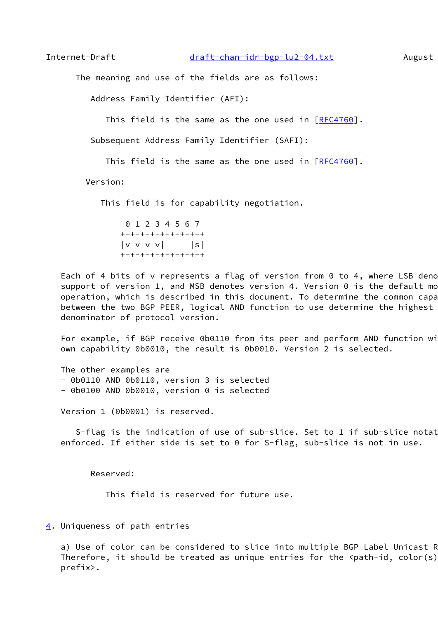<span id="page-7-1"></span>

The meaning and use of the fields are as follows:

Address Family Identifier (AFI):

This field is the same as the one used in [[RFC4760\]](https://datatracker.ietf.org/doc/pdf/rfc4760).

Subsequent Address Family Identifier (SAFI):

This field is the same as the one used in [[RFC4760\]](https://datatracker.ietf.org/doc/pdf/rfc4760).

Version:

This field is for capability negotiation.

 0 1 2 3 4 5 6 7 +-+-+-+-+-+-+-+-+  $|v v v v|$  |s| +-+-+-+-+-+-+-+-+

Each of 4 bits of v represents a flag of version from 0 to 4, where LSB deno support of version 1, and MSB denotes version 4. Version  $0$  is the default mo operation, which is described in this document. To determine the common capa between the two BGP PEER, logical AND function to use determine the highest denominator of protocol version.

For example, if BGP receive 0b0110 from its peer and perform AND function wi own capability 0b0010, the result is 0b0010. Version 2 is selected.

 The other examples are - 0b0110 AND 0b0110, version 3 is selected - 0b0100 AND 0b0010, version 0 is selected

Version 1 (0b0001) is reserved.

S-flag is the indication of use of sub-slice. Set to 1 if sub-slice notat enforced. If either side is set to 0 for S-flag, sub-slice is not in use.

Reserved:

This field is reserved for future use.

## <span id="page-7-0"></span>[4](#page-7-0). Uniqueness of path entries

a) Use of color can be considered to slice into multiple BGP Label Unicast R Therefore, it should be treated as unique entries for the  $\epsilon$  path-id, color(s) prefix>.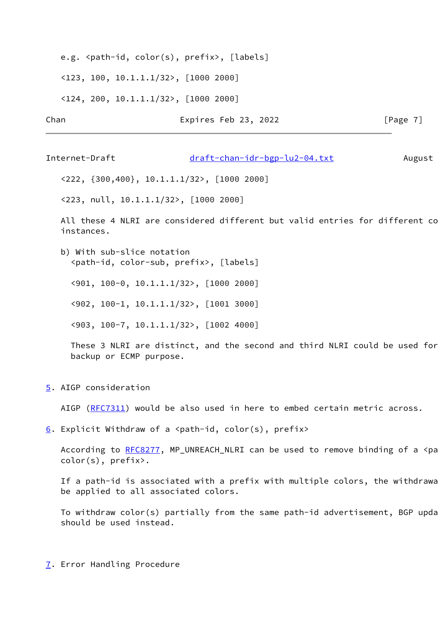e.g. <path-id, color(s), prefix>, [labels]

<123, 100, 10.1.1.1/32>, [1000 2000]

<124, 200, 10.1.1.1/32>, [1000 2000]

Chan Expires Feb 23, 2022 [Page 7]

<span id="page-8-1"></span>Internet-Draft [draft-chan-idr-bgp-lu2-04.txt](https://datatracker.ietf.org/doc/pdf/draft-chan-idr-bgp-lu2-04.txt) August

<222, {300,400}, 10.1.1.1/32>, [1000 2000]

<223, null, 10.1.1.1/32>, [1000 2000]

All these 4 NLRI are considered different but valid entries for different co instances.

 b) With sub-slice notation <path-id, color-sub, prefix>, [labels]

<901, 100-0, 10.1.1.1/32>, [1000 2000]

<902, 100-1, 10.1.1.1/32>, [1001 3000]

<903, 100-7, 10.1.1.1/32>, [1002 4000]

 These 3 NLRI are distinct, and the second and third NLRI could be used for backup or ECMP purpose.

<span id="page-8-0"></span>[5](#page-8-0). AIGP consideration

AIGP [\(RFC7311](https://datatracker.ietf.org/doc/pdf/rfc7311)) would be also used in here to embed certain metric across.

<span id="page-8-2"></span>[6](#page-8-2). Explicit Withdraw of a  $\epsilon$  ath-id, color(s), prefix>

According to  $RFC8277$ , MP\_UNREACH\_NLRI can be used to remove binding of a <pa color(s), prefix>.

If a path-id is associated with a prefix with multiple colors, the withdrawa be applied to all associated colors.

To withdraw color(s) partially from the same path-id advertisement, BGP update should be used instead.

<span id="page-8-3"></span>[7](#page-8-3). Error Handling Procedure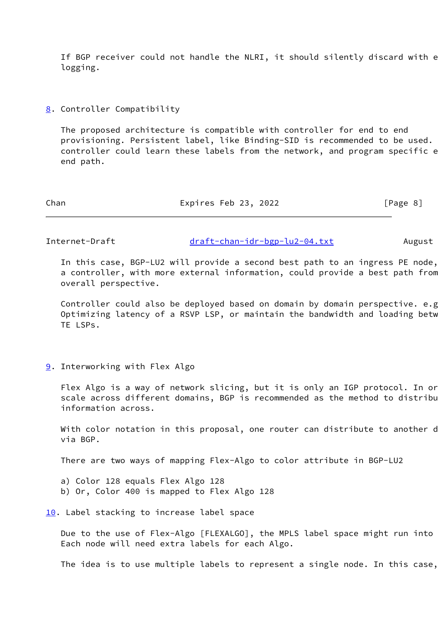If BGP receiver could not handle the NLRI, it should silently discard with e logging.

<span id="page-9-0"></span>[8](#page-9-0). Controller Compatibility

 The proposed architecture is compatible with controller for end to end provisioning. Persistent label, like Binding-SID is recommended to be used. controller could learn these labels from the network, and program specific e end path.

| Chan | Expires Feb 23, 2022 | [Page 8] |
|------|----------------------|----------|
|------|----------------------|----------|

<span id="page-9-2"></span>Internet-Draft [draft-chan-idr-bgp-lu2-04.txt](https://datatracker.ietf.org/doc/pdf/draft-chan-idr-bgp-lu2-04.txt) August

In this case, BGP-LU2 will provide a second best path to an ingress PE node, a controller, with more external information, could provide a best path from overall perspective.

Controller could also be deployed based on domain by domain perspective. e.g. Optimizing latency of a RSVP LSP, or maintain the bandwidth and loading betw TE LSPs.

<span id="page-9-1"></span>[9](#page-9-1). Interworking with Flex Algo

Flex Algo is a way of network slicing, but it is only an IGP protocol. In or scale across different domains, BGP is recommended as the method to distribu information across.

With color notation in this proposal, one router can distribute to another d via BGP.

There are two ways of mapping Flex-Algo to color attribute in BGP-LU2

- a) Color 128 equals Flex Algo 128
- b) Or, Color 400 is mapped to Flex Algo 128

<span id="page-9-3"></span>[10.](#page-9-3) Label stacking to increase label space

Due to the use of Flex-Algo [FLEXALGO], the MPLS label space might run into Each node will need extra labels for each Algo.

The idea is to use multiple labels to represent a single node. In this case,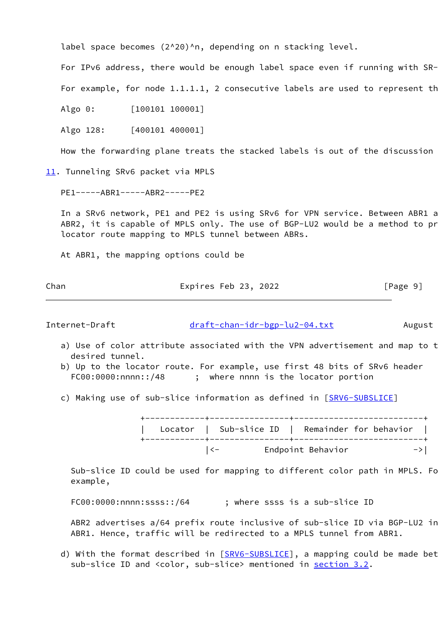label space becomes (2^20)^n, depending on n stacking level.

For IPv6 address, there would be enough label space even if running with SR-

For example, for node  $1.1.1.1$ , 2 consecutive labels are used to represent the

Algo 0: [100101 100001]

Algo 128: [400101 400001]

How the forwarding plane treats the stacked labels is out of the discussion

<span id="page-10-0"></span>[11.](#page-10-0) Tunneling SRv6 packet via MPLS

PE1-----ABR1-----ABR2-----PE2

In a SRv6 network, PE1 and PE2 is using SRv6 for VPN service. Between ABR1 a ABR2, it is capable of MPLS only. The use of BGP-LU2 would be a method to pr locator route mapping to MPLS tunnel between ABRs.

At ABR1, the mapping options could be

Chan Expires Feb 23, 2022 [Page 9]

<span id="page-10-1"></span>Internet-Draft [draft-chan-idr-bgp-lu2-04.txt](https://datatracker.ietf.org/doc/pdf/draft-chan-idr-bgp-lu2-04.txt) August

- a) Use of color attribute associated with the VPN advertisement and map to t desired tunnel.
- b) Up to the locator route. For example, use first 48 bits of SRv6 header FC00:0000:nnnn::/48 ; where nnnn is the locator portion
- c) Making use of sub-slice information as defined in [\[SRV6-SUBSLICE\]](#page-12-3)

 +------------+----------------+--------------------------+ | Locator | Sub-slice ID | Remainder for behavior | +------------+----------------+--------------------------+ |<- Endpoint Behavior ->|

Sub-slice ID could be used for mapping to different color path in MPLS. Fo example,

FC00:0000:nnnn:ssss::/64 ; where ssss is a sub-slice ID

ABR2 advertises a/64 prefix route inclusive of sub-slice ID via BGP-LU2 in ABR1. Hence, traffic will be redirected to a MPLS tunnel from ABR1.

d) With the format described in [\[SRV6-SUBSLICE](#page-12-3)], a mapping could be made bet sub-slice ID and <color, sub-slice> mentioned in [section 3.2](#page-4-2).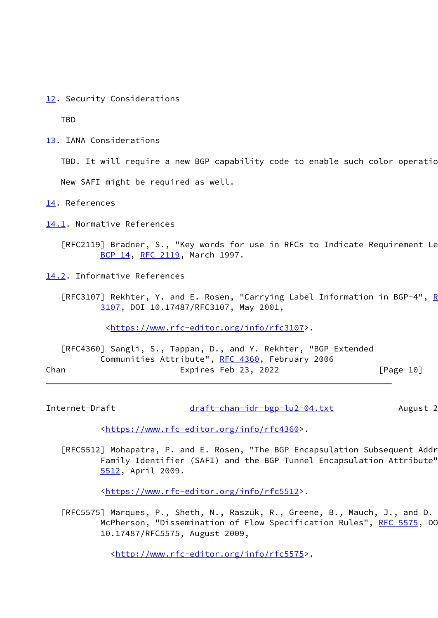<span id="page-11-0"></span>[12.](#page-11-0) Security Considerations

TBD

<span id="page-11-1"></span>[13.](#page-11-1) IANA Considerations

TBD. It will require a new BGP capability code to enable such color operatio

New SAFI might be required as well.

<span id="page-11-2"></span>[14.](#page-11-2) References

<span id="page-11-3"></span>[14.1](#page-11-3). Normative References

[RFC2119] Bradner, S., "Key words for use in RFCs to Indicate Requirement Le [BCP 14](https://datatracker.ietf.org/doc/pdf/bcp14), [RFC 2119](https://datatracker.ietf.org/doc/pdf/rfc2119), March 1997.

- <span id="page-11-4"></span>[14.2](#page-11-4). Informative References
	- [[RFC](https://datatracker.ietf.org/doc/pdf/rfc3107)3107] Rekhter, Y. and E. Rosen, "Carrying Label Information in BGP-4", R [3107](https://datatracker.ietf.org/doc/pdf/rfc3107), DOI 10.17487/RFC3107, May 2001,

[<https://www.rfc-editor.org/info/rfc3107](https://www.rfc-editor.org/info/rfc3107)>.

|      | [RFC4360] Sangli, S., Tappan, D., and Y. Rekhter, "BGP Extended |                      |  |                                |  |
|------|-----------------------------------------------------------------|----------------------|--|--------------------------------|--|
|      | Communities Attribute", RFC 4360, February 2006                 |                      |  |                                |  |
| Chan |                                                                 | Expires Feb 23, 2022 |  | $\lceil \text{Page 10} \rceil$ |  |

<span id="page-11-5"></span>Internet-Draft [draft-chan-idr-bgp-lu2-04.txt](https://datatracker.ietf.org/doc/pdf/draft-chan-idr-bgp-lu2-04.txt) August 2

[<https://www.rfc-editor.org/info/rfc4360](https://www.rfc-editor.org/info/rfc4360)>.

[RFC5512] Mohapatra, P. and E. Rosen, "The BGP Encapsulation Subsequent Addr Family Identifier (SAFI) and the BGP Tunnel Encapsulation Attribute", [5512](https://datatracker.ietf.org/doc/pdf/rfc5512), April 2009.

[<https://www.rfc-editor.org/info/rfc5512](https://www.rfc-editor.org/info/rfc5512)>.

 [RFC5575] Marques, P., Sheth, N., Raszuk, R., Greene, B., Mauch, J., and D. McPherson, "Dissemination of Flow Specification Rules", [RFC 5575](https://datatracker.ietf.org/doc/pdf/rfc5575), DO 10.17487/RFC5575, August 2009,

<<http://www.rfc-editor.org/info/rfc5575>>.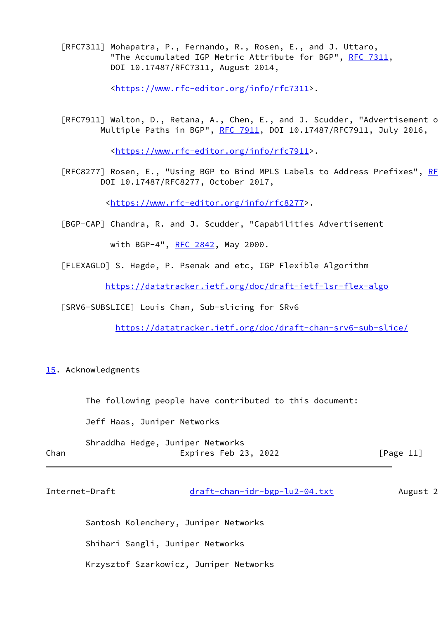[RFC7311] Mohapatra, P., Fernando, R., Rosen, E., and J. Uttaro, "The Accumulated IGP Metric Attribute for BGP", [RFC 7311](https://datatracker.ietf.org/doc/pdf/rfc7311), DOI 10.17487/RFC7311, August 2014,

<<https://www.rfc-editor.org/info/rfc7311>>.

[RFC7911] Walton, D., Retana, A., Chen, E., and J. Scudder, "Advertisement o Multiple Paths in BGP", [RFC 7911](https://datatracker.ietf.org/doc/pdf/rfc7911), DOI 10.17487/RFC7911, July 2016,

<<https://www.rfc-editor.org/info/rfc7911>>.

[RFC8277] Rosen, E., "Using BGP to Bind MPLS Labels to Address Prefixes", RF DOI 10.17487/RFC8277, October 2017,

[<https://www.rfc-editor.org/info/rfc8277](https://www.rfc-editor.org/info/rfc8277)>.

<span id="page-12-1"></span>[BGP-CAP] Chandra, R. and J. Scudder, "Capabilities Advertisement

with BGP-4", [RFC 2842,](https://datatracker.ietf.org/doc/pdf/rfc2842) May 2000.

<span id="page-12-2"></span>[FLEXAGLO] S. Hegde, P. Psenak and etc, IGP Flexible Algorithm

<https://datatracker.ietf.org/doc/draft-ietf-lsr-flex-algo>

<span id="page-12-3"></span>[SRV6-SUBSLICE] Louis Chan, Sub-slicing for SRv6

<https://datatracker.ietf.org/doc/draft-chan-srv6-sub-slice/>

<span id="page-12-0"></span>[15.](#page-12-0) Acknowledgments

The following people have contributed to this document:

Jeff Haas, Juniper Networks

|      | Shraddha Hedge, Juniper Networks |           |
|------|----------------------------------|-----------|
| Chan | Expires Feb 23, 2022             | [Page 11] |

| Internet-Draft | draft-chan-idr-bgp-lu2-04.txt | August 2 |
|----------------|-------------------------------|----------|
|----------------|-------------------------------|----------|

Santosh Kolenchery, Juniper Networks

Shihari Sangli, Juniper Networks

Krzysztof Szarkowicz, Juniper Networks